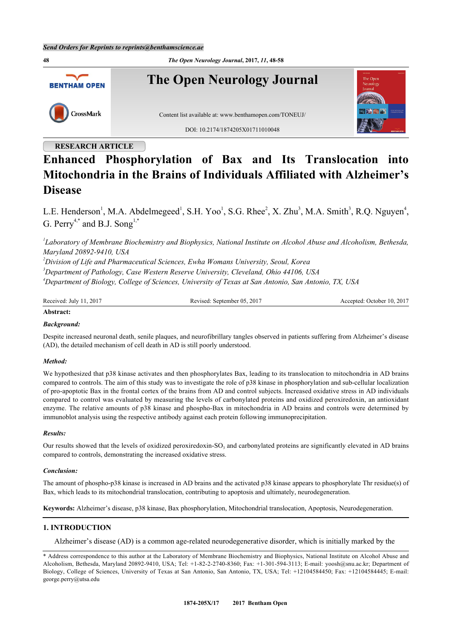**48** *The Open Neurology Journal***, 2017,** *11***, 48-58 The Open Neurology Journal BENTHAM OPEN** CrossMark Content list available at: [www.benthamopen.com/TONEUJ/](http://www.benthamopen.com/TONEUJ/) DOI: [10.2174/1874205X01711010048](http://dx.doi.org/10.2174/1874205X01711010048)

# **RESEARCH ARTICLE**

# **Enhanced Phosphorylation of Bax and Its Translocation into Mitochondria in the Brains of Individuals Affiliated with Alzheimer's Disease**

L.E. Henderson<sup>[1](#page-0-0)</sup>, M.A. Abdelmegeed<sup>1</sup>, S.H. Yoo<sup>1</sup>, S.G. Rhee<sup>[2](#page-0-1)</sup>, X. Zhu<sup>[3](#page-0-2)</sup>, M.A. Smith<sup>3</sup>, R.Q. Nguyen<sup>[4](#page-0-3)</sup>, G. Perry<sup>[4,](#page-0-3)[\\*](#page-0-4)</sup> and B.J. Song<sup>[1,](#page-0-0)\*</sup>

<span id="page-0-0"></span>*1 Laboratory of Membrane Biochemistry and Biophysics, National Institute on Alcohol Abuse and Alcoholism, Bethesda, Maryland 20892-9410, USA*

<span id="page-0-2"></span><span id="page-0-1"></span>*<sup>2</sup>Division of Life and Pharmaceutical Sciences, Ewha Womans University, Seoul, Korea <sup>3</sup>Department of Pathology, Case Western Reserve University, Cleveland, Ohio 44106, USA <sup>4</sup>Department of Biology, College of Sciences, University of Texas at San Antonio, San Antonio, TX, USA*

<span id="page-0-3"></span>

| Received.<br>$-201^{\circ}$<br>July | 2017<br>05<br>Revised<br>September<br>IN C | .2017<br>10.<br>. Jetober<br>Accented <sup>.</sup> |
|-------------------------------------|--------------------------------------------|----------------------------------------------------|
|-------------------------------------|--------------------------------------------|----------------------------------------------------|

# **Abstract:**

# *Background:*

Despite increased neuronal death, senile plaques, and neurofibrillary tangles observed in patients suffering from Alzheimer's disease (AD), the detailed mechanism of cell death in AD is still poorly understood.

## *Method:*

We hypothesized that p38 kinase activates and then phosphorylates Bax, leading to its translocation to mitochondria in AD brains compared to controls. The aim of this study was to investigate the role of p38 kinase in phosphorylation and sub-cellular localization of pro-apoptotic Bax in the frontal cortex of the brains from AD and control subjects. Increased oxidative stress in AD individuals compared to control was evaluated by measuring the levels of carbonylated proteins and oxidized peroxiredoxin, an antioxidant enzyme. The relative amounts of p38 kinase and phospho-Bax in mitochondria in AD brains and controls were determined by immunoblot analysis using the respective antibody against each protein following immunoprecipitation.

## *Results:*

Our results showed that the levels of oxidized peroxiredoxin-SO<sub>3</sub> and carbonylated proteins are significantly elevated in AD brains compared to controls, demonstrating the increased oxidative stress.

## *Conclusion:*

The amount of phospho-p38 kinase is increased in AD brains and the activated p38 kinase appears to phosphorylate Thr residue(s) of Bax, which leads to its mitochondrial translocation, contributing to apoptosis and ultimately, neurodegeneration.

**Keywords:** Alzheimer's disease, p38 kinase, Bax phosphorylation, Mitochondrial translocation, Apoptosis, Neurodegeneration.

# **1. INTRODUCTION**

Alzheimer's disease (AD) is a common age-related neurodegenerative disorder, which is initially marked by the

<span id="page-0-4"></span><sup>\*</sup> Address correspondence to this author at the Laboratory of Membrane Biochemistry and Biophysics, National Institute on Alcohol Abuse and Alcoholism, Bethesda, Maryland 20892-9410, USA; Tel: +1-82-2-2740-8360; Fax: +1-301-594-3113; E-mail: [yoosh@snu.ac.kr](mailto:yoosh@snu.ac.kr); Department of Biology, College of Sciences, University of Texas at San Antonio, San Antonio, TX, USA; Tel: +12104584450; Fax: +12104584445; E-mail: [george.perry@utsa.edu](mailto:george.perry@utsa.edu)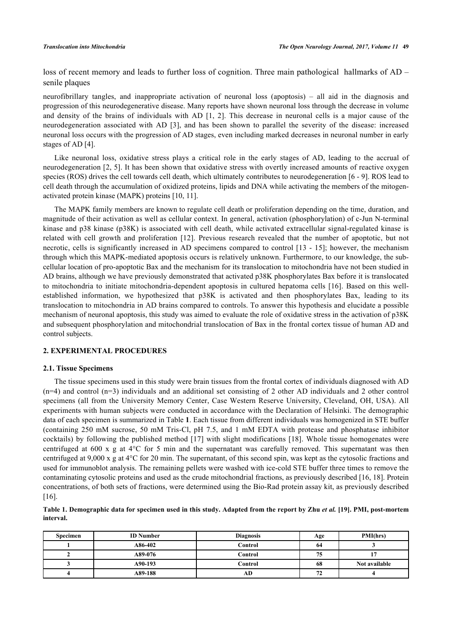loss of recent memory and leads to further loss of cognition. Three main pathological hallmarks of AD – senile plaques

neurofibrillary tangles, and inappropriate activation of neuronal loss (apoptosis) – all aid in the diagnosis and progression of this neurodegenerative disease. Many reports have shown neuronal loss through the decrease in volume and density of the brains of individuals with AD[[1](#page-8-0), [2\]](#page-8-1). This decrease in neuronal cells is a major cause of the neurodegeneration associated with AD[[3\]](#page-8-2), and has been shown to parallel the severity of the disease: increased neuronal loss occurs with the progression of AD stages, even including marked decreases in neuronal number in early stages of AD [[4\]](#page-8-3).

Like neuronal loss, oxidative stress plays a critical role in the early stages of AD, leading to the accrual of neurodegeneration [\[2](#page-8-1), [5](#page-8-4)]. It has been shown that oxidative stress with overtly increased amounts of reactive oxygen species (ROS) drives the cell towards cell death, which ultimately contributes to neurodegeneration [[6](#page-8-5) - [9](#page-8-6)]. ROS lead to cell death through the accumulation of oxidized proteins, lipids and DNA while activating the members of the mitogenactivated protein kinase (MAPK) proteins [\[10](#page-8-7), [11](#page-8-8)].

The MAPK family members are known to regulate cell death or proliferation depending on the time, duration, and magnitude of their activation as well as cellular context. In general, activation (phosphorylation) of c-Jun N-terminal kinase and p38 kinase (p38K) is associated with cell death, while activated extracellular signal-regulated kinase is related with cell growth and proliferation [\[12](#page-8-9)]. Previous research revealed that the number of apoptotic, but not necrotic, cells is significantly increased in AD specimens compared to control [[13](#page-8-10) - [15\]](#page-8-11); however, the mechanism through which this MAPK-mediated apoptosis occurs is relatively unknown. Furthermore, to our knowledge, the subcellular location of pro-apoptotic Bax and the mechanism for its translocation to mitochondria have not been studied in AD brains, although we have previously demonstrated that activated p38K phosphorylates Bax before it is translocated to mitochondria to initiate mitochondria-dependent apoptosis in cultured hepatoma cells [[16](#page-8-12)]. Based on this wellestablished information, we hypothesized that p38K is activated and then phosphorylates Bax, leading to its translocation to mitochondria in AD brains compared to controls. To answer this hypothesis and elucidate a possible mechanism of neuronal apoptosis, this study was aimed to evaluate the role of oxidative stress in the activation of p38K and subsequent phosphorylation and mitochondrial translocation of Bax in the frontal cortex tissue of human AD and control subjects.

## **2. EXPERIMENTAL PROCEDURES**

#### **2.1. Tissue Specimens**

The tissue specimens used in this study were brain tissues from the frontal cortex of individuals diagnosed with AD (n=4) and control (n=3) individuals and an additional set consisting of 2 other AD individuals and 2 other control specimens (all from the University Memory Center, Case Western Reserve University, Cleveland, OH, USA). All experiments with human subjects were conducted in accordance with the Declaration of Helsinki. The demographic data of each specimen is summarized in Table **[1](#page-1-0)**. Each tissue from different individuals was homogenized in STE buffer (containing 250 mM sucrose, 50 mM Tris-Cl, pH 7.5, and 1 mM EDTA with protease and phosphatase inhibitor cocktails) by following the published method [[17\]](#page-8-13) with slight modifications [[18\]](#page-9-0). Whole tissue homogenates were centrifuged at 600 x g at 4°C for 5 min and the supernatant was carefully removed. This supernatant was then centrifuged at 9,000 x g at 4°C for 20 min. The supernatant, of this second spin, was kept as the cytosolic fractions and used for immunoblot analysis. The remaining pellets were washed with ice-cold STE buffer three times to remove the contaminating cytosolic proteins and used as the crude mitochondrial fractions, as previously described [\[16](#page-8-12), [18](#page-9-0)]. Protein concentrations, of both sets of fractions, were determined using the Bio-Rad protein assay kit, as previously described [\[16](#page-8-12)].

<span id="page-1-0"></span>

|           | Table 1. Demographic data for specimen used in this study. Adapted from the report by Zhu et al. [19]. PMI, post-mortem |  |  |
|-----------|-------------------------------------------------------------------------------------------------------------------------|--|--|
| interval. |                                                                                                                         |  |  |

| <b>Specimen</b> | <b>ID</b> Number | <b>Diagnosis</b> | Age | PMI(hrs)      |
|-----------------|------------------|------------------|-----|---------------|
|                 | A86-402          | Control          | -64 |               |
|                 | A89-076          | Control          | 75  |               |
|                 | A90-193          | Control          | 68  | Not available |
|                 | A89-188          | AD               | 72  |               |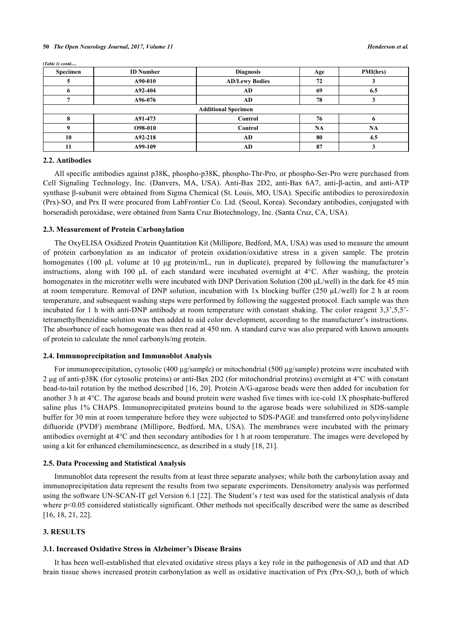| Specimen                   | <b>ID</b> Number | <b>Diagnosis</b>      | Age       | PMI(hrs) |
|----------------------------|------------------|-----------------------|-----------|----------|
|                            | A90-010          | <b>AD/Lewy Bodies</b> | 72        |          |
|                            | A92-404          | AD                    | 69        | 6.5      |
|                            | A96-076          | AD                    | 78        |          |
| <b>Additional Specimen</b> |                  |                       |           |          |
|                            | A91-473          | Control               | 76        |          |
|                            | O98-010          | Control               | <b>NA</b> | NA       |
| 10                         | A92-218          | AD                    | 80        | 4.5      |
|                            | A99-109          | AD                    | 87        |          |

*(Table 1) contd.....*

## **2.2. Antibodies**

All specific antibodies against p38K, phospho-p38K, phospho-Thr-Pro, or phospho-Ser-Pro were purchased from Cell Signaling Technology, Inc. (Danvers, MA, USA). Anti-Bax 2D2, anti-Bax 6A7, anti-β-actin, and anti-ATP synthase β-subunit were obtained from Sigma Chemical (St. Louis, MO, USA). Specific antibodies to peroxiredoxin (Prx)-SO<sub>3</sub> and Prx II were procured from LabFrontier Co. Ltd. (Seoul, Korea). Secondary antibodies, conjugated with horseradish peroxidase, were obtained from Santa Cruz Biotechnology, Inc. (Santa Cruz, CA, USA).

#### **2.3. Measurement of Protein Carbonylation**

The OxyELISA Oxidized Protein Quantitation Kit (Millipore, Bedford, MA, USA) was used to measure the amount of protein carbonylation as an indicator of protein oxidation/oxidative stress in a given sample. The protein homogenates (100 μL volume at 10 μg protein/mL, run in duplicate), prepared by following the manufacturer's instructions, along with 100 μL of each standard were incubated overnight at 4°C. After washing, the protein homogenates in the microtiter wells were incubated with DNP Derivation Solution (200 μL/well) in the dark for 45 min at room temperature. Removal of DNP solution, incubation with 1x blocking buffer (250 μL/well) for 2 h at room temperature, and subsequent washing steps were performed by following the suggested protocol. Each sample was then incubated for 1 h with anti-DNP antibody at room temperature with constant shaking. The color reagent 3,3',5,5' tetramethylbenzidine solution was then added to aid color development, according to the manufacturer's instructions. The absorbance of each homogenate was then read at 450 nm. A standard curve was also prepared with known amounts of protein to calculate the nmol carbonyls/mg protein.

## **2.4. Immunoprecipitation and Immunoblot Analysis**

For immunoprecipitation, cytosolic (400 µg/sample) or mitochondrial (500 µg/sample) proteins were incubated with 2 μg of anti-p38K (for cytosolic proteins) or anti-Bax 2D2 (for mitochondrial proteins) overnight at 4°C with constant head-to-tail rotation by the method described [\[16](#page-8-12), [20\]](#page-9-2). Protein A/G-agarose beads were then added for incubation for another 3 h at 4°C. The agarose beads and bound protein were washed five times with ice-cold 1X phosphate-buffered saline plus 1% CHAPS. Immunoprecipitated proteins bound to the agarose beads were solubilized in SDS-sample buffer for 30 min at room temperature before they were subjected to SDS-PAGE and transferred onto polyvinylidene difluoride (PVDF) membrane (Millipore, Bedford, MA, USA). The membranes were incubated with the primary antibodies overnight at 4°C and then secondary antibodies for 1 h at room temperature. The images were developed by using a kit for enhanced chemiluminescence, as described in a study [[18,](#page-9-0) [21\]](#page-9-3).

## **2.5. Data Processing and Statistical Analysis**

Immunoblot data represent the results from at least three separate analyses; while both the carbonylation assay and immunoprecipitation data represent the results from two separate experiments. Densitometry analysis was performed using the software UN-SCAN-IT gel Version 6.1 [[22\]](#page-9-4). The Student's *t* test was used for the statistical analysis of data where p<0.05 considered statistically significant. Other methods not specifically described were the same as described [\[16](#page-8-12), [18](#page-9-0), [21](#page-9-3), [22](#page-9-4)].

## **3. RESULTS**

#### **3.1. Increased Oxidative Stress in Alzheimer's Disease Brains**

It has been well-established that elevated oxidative stress plays a key role in the pathogenesis of AD and that AD brain tissue shows increased protein carbonylation as well as oxidative inactivation of Prx (Prx-SO<sub>3</sub>), both of which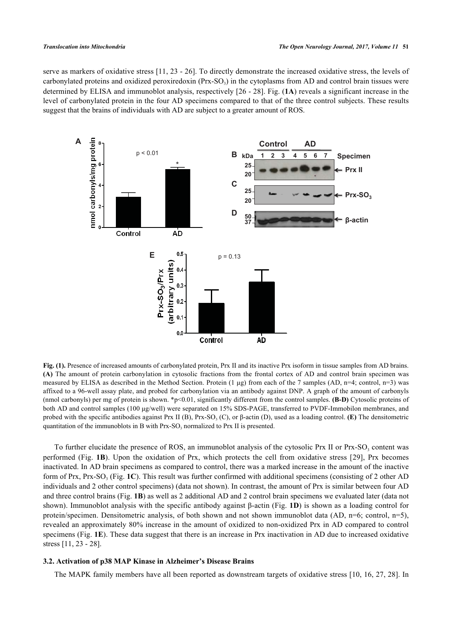serve as markers of oxidative stress [[11,](#page-8-8) [23](#page-9-5) - [26\]](#page-9-6). To directly demonstrate the increased oxidative stress, the levels of carbonylated proteins and oxidized peroxiredoxin  $(Prx-SO<sub>3</sub>)$  in the cytoplasms from AD and control brain tissues were determined by ELISA and immunoblot analysis, respectively [\[26](#page-9-6) - [28\]](#page-9-7). Fig. (**[1A](#page-3-0)**) reveals a significant increase in the level of carbonylated protein in the four AD specimens compared to that of the three control subjects. These results suggest that the brains of individuals with AD are subject to a greater amount of ROS.

<span id="page-3-0"></span>

**Fig. (1).** Presence of increased amounts of carbonylated protein, Prx II and its inactive Prx isoform in tissue samples from AD brains. **(A)** The amount of protein carbonylation in cytosolic fractions from the frontal cortex of AD and control brain specimen was measured by ELISA as described in the Method Section. Protein  $(1 \mu g)$  from each of the 7 samples  $(AD, n=4; control, n=3)$  was affixed to a 96-well assay plate, and probed for carbonylation via an antibody against DNP. A graph of the amount of carbonyls (nmol carbonyls) per mg of protein is shown. \*p<0.01, significantly different from the control samples. **(B-D)** Cytosolic proteins of both AD and control samples (100 μg/well) were separated on 15% SDS-PAGE, transferred to PVDF-Immobilon membranes, and probed with the specific antibodies against Prx II (B), Prx-SO<sub>3</sub> (C), or β-actin (D), used as a loading control. (**E**) The densitometric quantitation of the immunoblots in B with  $Prx$ -SO<sub>3</sub> normalized to  $Prx$  II is presented.

To further elucidate the presence of ROS, an immunoblot analysis of the cytosolic Prx II or Prx-SO<sub>3</sub> content was performed (Fig. **[1B](#page-3-0)**). Upon the oxidation of Prx, which protects the cell from oxidative stress[[29\]](#page-9-8), Prx becomes inactivated. In AD brain specimens as compared to control, there was a marked increase in the amount of the inactive form of Prx, Prx-SO<sub>3</sub> (Fig. [1C](#page-3-0)). This result was further confirmed with additional specimens (consisting of 2 other AD individuals and 2 other control specimens) (data not shown). In contrast, the amount of Prx is similar between four AD and three control brains (Fig. **[1B](#page-3-0)**) as well as 2 additional AD and 2 control brain specimens we evaluated later (data not shown). Immunoblot analysis with the specific antibody against β-actin (Fig. **[1D](#page-3-0)**) is shown as a loading control for protein/specimen. Densitometric analysis, of both shown and not shown immunoblot data (AD, n=6; control, n=5), revealed an approximately 80% increase in the amount of oxidized to non-oxidized Prx in AD compared to control specimens (Fig. **[1E](#page-3-0)**). These data suggest that there is an increase in Prx inactivation in AD due to increased oxidative stress [[11,](#page-8-8) [23](#page-9-5) - [28](#page-9-7)].

## **3.2. Activation of p38 MAP Kinase in Alzheimer's Disease Brains**

The MAPK family members have all been reported as downstream targets of oxidative stress [[10,](#page-8-7) [16,](#page-8-12) [27](#page-9-9), [28](#page-9-7)]. In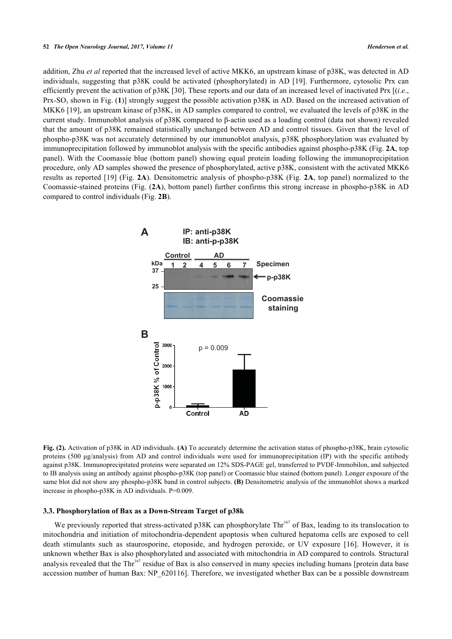#### **52** *The Open Neurology Journal, 2017, Volume 11 Henderson et al.*

addition, Zhu *et al* reported that the increased level of active MKK6, an upstream kinase of p38K, was detected in AD individuals, suggesting that p38K could be activated (phosphorylated) in AD [[19\]](#page-9-1). Furthermore, cytosolic Prx can efficiently prevent the activation of p38K [\[30\]](#page-9-10). These reports and our data of an increased level of inactivated Prx [(*i.e*., Prx-SO<sub>3</sub> shown in Fig. ([1](#page-3-0))] strongly suggest the possible activation p38K in AD. Based on the increased activation of MKK6 [\[19\]](#page-9-1), an upstream kinase of p38K, in AD samples compared to control, we evaluated the levels of p38K in the current study. Immunoblot analysis of p38K compared to β-actin used as a loading control (data not shown) revealed that the amount of p38K remained statistically unchanged between AD and control tissues. Given that the level of phospho-p38K was not accurately determined by our immunoblot analysis, p38K phosphorylation was evaluated by immunoprecipitation followed by immunoblot analysis with the specific antibodies against phospho-p38K (Fig. **[2A](#page-4-0)**, top panel). With the Coomassie blue (bottom panel) showing equal protein loading following the immunoprecipitation procedure, only AD samples showed the presence of phosphorylated, active p38K, consistent with the activated MKK6 results as reported [\[19\]](#page-9-1) (Fig. **[2A](#page-4-0)**). Densitometric analysis of phospho-p38K (Fig. **[2A](#page-4-0)**, top panel) normalized to the Coomassie-stained proteins (Fig. (**[2A](#page-4-0)**), bottom panel) further confirms this strong increase in phospho-p38K in AD compared to control individuals (Fig. **[2B](#page-4-0)**).

<span id="page-4-0"></span>

**Fig. (2).** Activation of p38K in AD individuals. **(A)** To accurately determine the activation status of phospho-p38K, brain cytosolic proteins (500 μg/analysis) from AD and control individuals were used for immunoprecipitation (IP) with the specific antibody against p38K. Immunoprecipitated proteins were separated on 12% SDS-PAGE gel, transferred to PVDF-Immobilon, and subjected to IB analysis using an antibody against phospho-p38K (top panel) or Coomassie blue stained (bottom panel). Longer exposure of the same blot did not show any phospho-p38K band in control subjects. **(B)** Densitometric analysis of the immunoblot shows a marked increase in phospho-p38K in AD individuals. P=0.009.

# **3.3. Phosphorylation of Bax as a Down-Stream Target of p38k**

We previously reported that stress-activated p38K can phosphorylate  $\text{Thr}^{167}$  of Bax, leading to its translocation to mitochondria and initiation of mitochondria-dependent apoptosis when cultured hepatoma cells are exposed to cell death stimulants such as staurosporine, etoposide, and hydrogen peroxide, or UV exposure[[16\]](#page-8-12). However, it is unknown whether Bax is also phosphorylated and associated with mitochondria in AD compared to controls. Structural analysis revealed that the Thr<sup>167</sup> residue of Bax is also conserved in many species including humans [protein data base accession number of human Bax: NP\_620116]. Therefore, we investigated whether Bax can be a possible downstream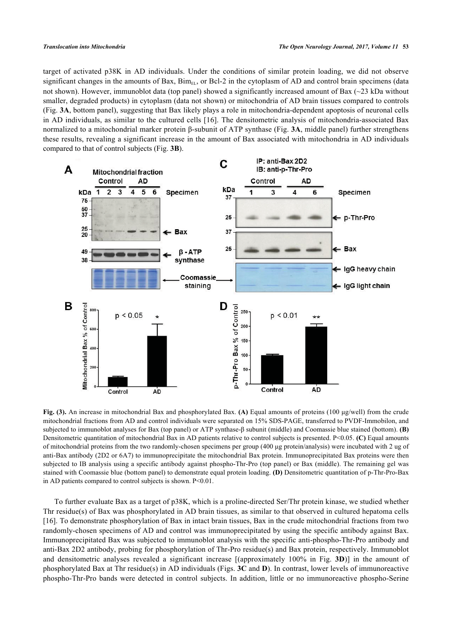target of activated p38K in AD individuals. Under the conditions of similar protein loading, we did not observe significant changes in the amounts of Bax,  $\text{Bim}_{EL}$ , or Bcl-2 in the cytoplasm of AD and control brain specimens (data not shown). However, immunoblot data (top panel) showed a significantly increased amount of Bax (~23 kDa without smaller, degraded products) in cytoplasm (data not shown) or mitochondria of AD brain tissues compared to controls (Fig. **[3A](#page-5-0)**, bottom panel), suggesting that Bax likely plays a role in mitochondria-dependent apoptosis of neuronal cells in AD individuals, as similar to the cultured cells [[16](#page-8-12)]. The densitometric analysis of mitochondria-associated Bax normalized to a mitochondrial marker protein β-subunit of ATP synthase (Fig. **[3A](#page-5-0)**, middle panel) further strengthens these results, revealing a significant increase in the amount of Bax associated with mitochondria in AD individuals compared to that of control subjects (Fig. **[3B](#page-5-0)**).

<span id="page-5-0"></span>

**Fig. (3).** An increase in mitochondrial Bax and phosphorylated Bax. **(A)** Equal amounts of proteins (100 μg/well) from the crude mitochondrial fractions from AD and control individuals were separated on 15% SDS-PAGE, transferred to PVDF-Immobilon, and subjected to immunoblot analyses for Bax (top panel) or ATP synthase-β subunit (middle) and Coomassie blue stained (bottom). **(B)** Densitometric quantitation of mitochondrial Bax in AD patients relative to control subjects is presented. P<0.05. **(C)** Equal amounts of mitochondrial proteins from the two randomly-chosen specimens per group (400 μg protein/analysis) were incubated with 2 ug of anti-Bax antibody (2D2 or 6A7) to immunoprecipitate the mitochondrial Bax protein. Immunoprecipitated Bax proteins were then subjected to IB analysis using a specific antibody against phospho-Thr-Pro (top panel) or Bax (middle). The remaining gel was stained with Coomassie blue (bottom panel) to demonstrate equal protein loading. **(D)** Densitometric quantitation of p-Thr-Pro-Bax in AD patients compared to control subjects is shown. P<0.01.

To further evaluate Bax as a target of p38K, which is a proline-directed Ser/Thr protein kinase, we studied whether Thr residue(s) of Bax was phosphorylated in AD brain tissues, as similar to that observed in cultured hepatoma cells [\[16](#page-8-12)]. To demonstrate phosphorylation of Bax in intact brain tissues, Bax in the crude mitochondrial fractions from two randomly-chosen specimens of AD and control was immunoprecipitated by using the specific antibody against Bax. Immunoprecipitated Bax was subjected to immunoblot analysis with the specific anti-phospho-Thr-Pro antibody and anti-Bax 2D2 antibody, probing for phosphorylation of Thr-Pro residue(s) and Bax protein, respectively. Immunoblot and densitometric analyses revealed a significant increase [(approximately 100% in Fig. **[3D](#page-5-0)**)] in the amount of phosphorylated Bax at Thr residue(s) in AD individuals (Figs. **[3C](#page-5-0)** and **[D](#page-5-0)**). In contrast, lower levels of immunoreactive phospho-Thr-Pro bands were detected in control subjects. In addition, little or no immunoreactive phospho-Serine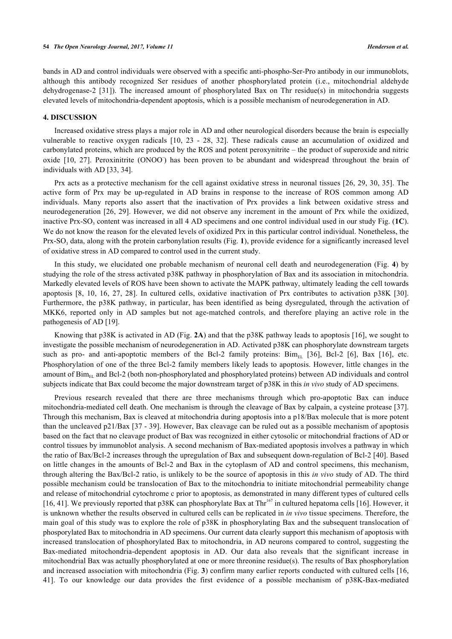bands in AD and control individuals were observed with a specific anti-phospho-Ser-Pro antibody in our immunoblots, although this antibody recognized Ser residues of another phosphorylated protein (i.e., mitochondrial aldehyde dehydrogenase-2[[31](#page-9-11)]). The increased amount of phosphorylated Bax on Thr residue(s) in mitochondria suggests elevated levels of mitochondria-dependent apoptosis, which is a possible mechanism of neurodegeneration in AD.

#### **4. DISCUSSION**

Increased oxidative stress plays a major role in AD and other neurological disorders because the brain is especially vulnerable to reactive oxygen radicals[[10](#page-8-7), [23](#page-9-5) - [28,](#page-9-7) [32](#page-9-12)]. These radicals cause an accumulation of oxidized and carbonylated proteins, which are produced by the ROS and potent peroxynitrite – the product of superoxide and nitric oxide [\[10,](#page-8-7) [27\]](#page-9-9). Peroxinitrite (ONOO) has been proven to be abundant and widespread throughout the brain of individuals with AD [\[33](#page-9-13), [34](#page-9-14)].

Prx acts as a protective mechanism for the cell against oxidative stress in neuronal tissues [\[26](#page-9-6), [29](#page-9-8), [30](#page-9-10), [35\]](#page-9-15). The active form of Prx may be up-regulated in AD brains in response to the increase of ROS common among AD individuals. Many reports also assert that the inactivation of Prx provides a link between oxidative stress and neurodegeneration [[26](#page-9-6), [29](#page-9-8)]. However, we did not observe any increment in the amount of Prx while the oxidized, inactive Prx-SO<sub>3</sub> content was increased in all 4 AD specimens and one control individual used in our study Fig. ([1C](#page-3-0)). We do not know the reason for the elevated levels of oxidized Prx in this particular control individual. Nonetheless, the Prx-SO<sub>3</sub> data, along with the protein carbonylation results (Fig. [1](#page-3-0)), provide evidence for a significantly increased level of oxidative stress in AD compared to control used in the current study.

In this study, we elucidated one probable mechanism of neuronal cell death and neurodegeneration (Fig. **[4](#page-7-0)**) by studying the role of the stress activated p38K pathway in phosphorylation of Bax and its association in mitochondria. Markedly elevated levels of ROS have been shown to activate the MAPK pathway, ultimately leading the cell towards apoptosis[[8,](#page-8-14) [10,](#page-8-7) [16,](#page-8-12) [27](#page-9-9), [28](#page-9-7)]. In cultured cells, oxidative inactivation of Prx contributes to activation p38K [\[30\]](#page-9-10). Furthermore, the p38K pathway, in particular, has been identified as being dysregulated, through the activation of MKK6, reported only in AD samples but not age-matched controls, and therefore playing an active role in the pathogenesis of AD [[19\]](#page-9-1).

Knowing that p38K is activated in AD (Fig. **[2A](#page-4-0)**) and that the p38K pathway leads to apoptosis [\[16](#page-8-12)], we sought to investigate the possible mechanism of neurodegeneration in AD. Activated p38K can phosphorylate downstream targets suchas pro- and anti-apoptotic members of the Bcl-2 family proteins:  $\text{Bim}_{\text{EL}}$  [[36](#page-9-16)], Bcl-2 [[6](#page-8-5)], Bax [[16\]](#page-8-12), etc. Phosphorylation of one of the three Bcl-2 family members likely leads to apoptosis. However, little changes in the amount of Bim<sub>EL</sub> and Bcl-2 (both non-phosphorylated and phosphorylated proteins) between AD individuals and control subjects indicate that Bax could become the major downstream target of p38K in this *in vivo* study of AD specimens.

Previous research revealed that there are three mechanisms through which pro-apoptotic Bax can induce mitochondria-mediated cell death. One mechanism is through the cleavage of Bax by calpain, a cysteine protease [[37\]](#page-10-0). Through this mechanism, Bax is cleaved at mitochondria during apoptosis into a p18/Bax molecule that is more potent than the uncleaved p21/Bax [\[37](#page-10-0) - [39\]](#page-10-1). However, Bax cleavage can be ruled out as a possible mechanism of apoptosis based on the fact that no cleavage product of Bax was recognized in either cytosolic or mitochondrial fractions of AD or control tissues by immunoblot analysis. A second mechanism of Bax-mediated apoptosis involves a pathway in which the ratio of Bax/Bcl-2 increases through the upregulation of Bax and subsequent down-regulation of Bcl-2 [\[40](#page-10-2)]. Based on little changes in the amounts of Bcl-2 and Bax in the cytoplasm of AD and control specimens, this mechanism, through altering the Bax/Bcl-2 ratio, is unlikely to be the source of apoptosis in this *in vivo* study of AD. The third possible mechanism could be translocation of Bax to the mitochondria to initiate mitochondrial permeability change and release of mitochondrial cytochrome c prior to apoptosis, as demonstrated in many different types of cultured cells [\[16](#page-8-12), [41](#page-10-3)]. We previously reported that p38K can phosphorylate Bax at Thr<sup>[16](#page-8-12)7</sup> in cultured hepatoma cells [16]. However, it is unknown whether the results observed in cultured cells can be replicated in *in vivo* tissue specimens. Therefore, the main goal of this study was to explore the role of p38K in phosphorylating Bax and the subsequent translocation of phosporylated Bax to mitochondria in AD specimens. Our current data clearly support this mechanism of apoptosis with increased translocation of phosphorylated Bax to mitochondria, in AD neurons compared to control, suggesting the Bax-mediated mitochondria-dependent apoptosis in AD. Our data also reveals that the significant increase in mitochondrial Bax was actually phosphorylated at one or more threonine residue(s). The results of Bax phosphorylation and increased association with mitochondria (Fig. **[3](#page-5-0)**) confirm many earlier reports conducted with cultured cells [[16](#page-8-12), [41\]](#page-10-3). To our knowledge our data provides the first evidence of a possible mechanism of p38K-Bax-mediated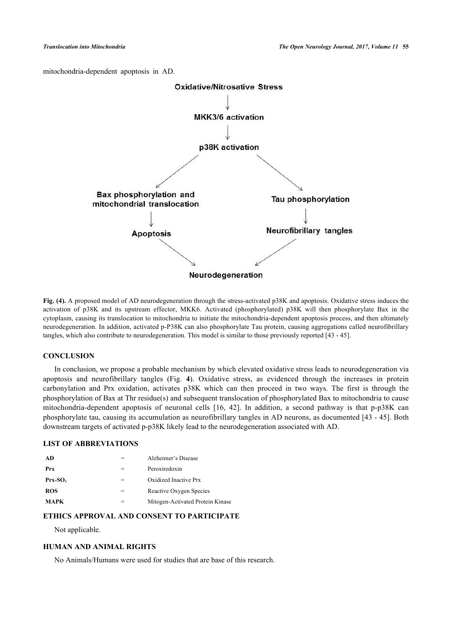<span id="page-7-0"></span>mitochondria-dependent apoptosis in AD.



**Fig. (4).** A proposed model of AD neurodegeneration through the stress-activated p38K and apoptosis. Oxidative stress induces the activation of p38K and its upstream effector, MKK6. Activated (phosphorylated) p38K will then phosphorylate Bax in the cytoplasm, causing its translocation to mitochondria to initiate the mitochondria-dependent apoptosis process, and then ultimately neurodegeneration. In addition, activated p-P38K can also phosphorylate Tau protein, causing aggregations called neurofibrillary tangles, which also contribute to neurodegeneration. This model is similar to those previously reported [[43](#page-10-4) - [45](#page-10-5)].

## **CONCLUSION**

In conclusion, we propose a probable mechanism by which elevated oxidative stress leads to neurodegeneration via apoptosis and neurofibrillary tangles (Fig.**4**). Oxidative stress, as evidenced through the increases in protein carbonylation and Prx oxidation, activates p38K which can then proceed in two ways. The first is through the phosphorylation of Bax at Thr residue(s) and subsequent translocation of phosphorylated Bax to mitochondria to cause mitochondria-dependent apoptosis of neuronal cells[[16,](#page-8-12) [42](#page-10-6)]. In addition, a second pathway is that p-p38K can phosphorylate tau, causing its accumulation as neurofibrillary tangles in AD neurons, as documented [\[43](#page-10-4) - [45\]](#page-10-5). Both downstream targets of activated p-p38K likely lead to the neurodegeneration associated with AD.

# **LIST OF ABBREVIATIONS**

| Alzheimer's Disease              |
|----------------------------------|
| Peroxiredoxin                    |
| Oxidized Inactive Prx            |
| Reactive Oxygen Species          |
| Mitogen-Activated Protein Kinase |
|                                  |

# **ETHICS APPROVAL AND CONSENT TO PARTICIPATE**

Not applicable.

# **HUMAN AND ANIMAL RIGHTS**

No Animals/Humans were used for studies that are base of this research.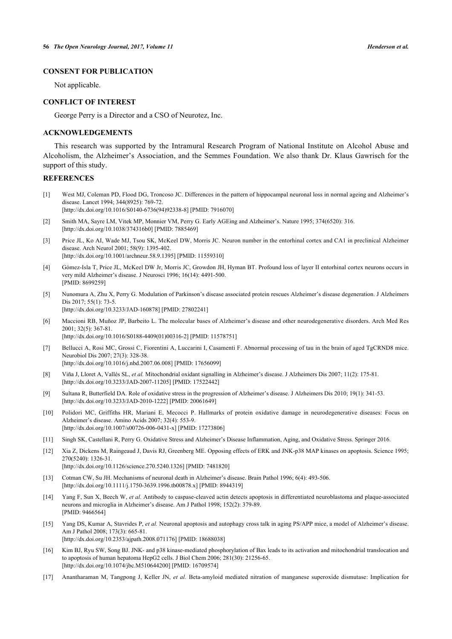# **CONSENT FOR PUBLICATION**

Not applicable.

#### **CONFLICT OF INTEREST**

George Perry is a Director and a CSO of Neurotez, Inc.

## **ACKNOWLEDGEMENTS**

This research was supported by the Intramural Research Program of National Institute on Alcohol Abuse and Alcoholism, the Alzheimer's Association, and the Semmes Foundation. We also thank Dr. Klaus Gawrisch for the support of this study.

# **REFERENCES**

- <span id="page-8-0"></span>[1] West MJ, Coleman PD, Flood DG, Troncoso JC. Differences in the pattern of hippocampal neuronal loss in normal ageing and Alzheimer's disease. Lancet 1994; 344(8925): 769-72. [\[http://dx.doi.org/10.1016/S0140-6736\(94\)92338-8\]](http://dx.doi.org/10.1016/S0140-6736(94)92338-8) [PMID: [7916070](http://www.ncbi.nlm.nih.gov/pubmed/7916070)]
- <span id="page-8-1"></span>[2] Smith MA, Sayre LM, Vitek MP, Monnier VM, Perry G. Early AGEing and Alzheimer's. Nature 1995; 374(6520): 316. [\[http://dx.doi.org/10.1038/374316b0\]](http://dx.doi.org/10.1038/374316b0) [PMID: [7885469](http://www.ncbi.nlm.nih.gov/pubmed/7885469)]
- <span id="page-8-2"></span>[3] Price JL, Ko AI, Wade MJ, Tsou SK, McKeel DW, Morris JC. Neuron number in the entorhinal cortex and CA1 in preclinical Alzheimer disease. Arch Neurol 2001; 58(9): 1395-402. [\[http://dx.doi.org/10.1001/archneur.58.9.1395\]](http://dx.doi.org/10.1001/archneur.58.9.1395) [PMID: [11559310](http://www.ncbi.nlm.nih.gov/pubmed/11559310)]
- <span id="page-8-3"></span>[4] Gómez-Isla T, Price JL, McKeel DW Jr, Morris JC, Growdon JH, Hyman BT. Profound loss of layer II entorhinal cortex neurons occurs in very mild Alzheimer's disease. J Neurosci 1996; 16(14): 4491-500. [PMID: [8699259\]](http://www.ncbi.nlm.nih.gov/pubmed/8699259)
- <span id="page-8-4"></span>[5] Nunomura A, Zhu X, Perry G. Modulation of Parkinson's disease associated protein rescues Alzheimer's disease degeneration. J Alzheimers Dis 2017; 55(1): 73-5. [\[http://dx.doi.org/10.3233/JAD-160878](http://dx.doi.org/10.3233/JAD-160878)] [PMID: [27802241\]](http://www.ncbi.nlm.nih.gov/pubmed/27802241)
- <span id="page-8-5"></span>[6] Maccioni RB, Muñoz JP, Barbeito L. The molecular bases of Alzheimer's disease and other neurodegenerative disorders. Arch Med Res 2001; 32(5): 367-81. [\[http://dx.doi.org/10.1016/S0188-4409\(01\)00316-2\]](http://dx.doi.org/10.1016/S0188-4409(01)00316-2) [PMID: [11578751](http://www.ncbi.nlm.nih.gov/pubmed/11578751)]
- [7] Bellucci A, Rosi MC, Grossi C, Fiorentini A, Luccarini I, Casamenti F. Abnormal processing of tau in the brain of aged TgCRND8 mice. Neurobiol Dis 2007; 27(3): 328-38. [\[http://dx.doi.org/10.1016/j.nbd.2007.06.008](http://dx.doi.org/10.1016/j.nbd.2007.06.008)] [PMID: [17656099\]](http://www.ncbi.nlm.nih.gov/pubmed/17656099)
- <span id="page-8-14"></span>[8] Viña J, Lloret A, Vallés SL, *et al.* Mitochondrial oxidant signalling in Alzheimer's disease. J Alzheimers Dis 2007; 11(2): 175-81. [\[http://dx.doi.org/10.3233/JAD-2007-11205\]](http://dx.doi.org/10.3233/JAD-2007-11205) [PMID: [17522442](http://www.ncbi.nlm.nih.gov/pubmed/17522442)]
- <span id="page-8-6"></span>[9] Sultana R, Butterfield DA. Role of oxidative stress in the progression of Alzheimer's disease. J Alzheimers Dis 2010; 19(1): 341-53. [\[http://dx.doi.org/10.3233/JAD-2010-1222\]](http://dx.doi.org/10.3233/JAD-2010-1222) [PMID: [20061649](http://www.ncbi.nlm.nih.gov/pubmed/20061649)]
- <span id="page-8-7"></span>[10] Polidori MC, Griffiths HR, Mariani E, Mecocci P. Hallmarks of protein oxidative damage in neurodegenerative diseases: Focus on Alzheimer's disease. Amino Acids 2007; 32(4): 553-9. [\[http://dx.doi.org/10.1007/s00726-006-0431-x\]](http://dx.doi.org/10.1007/s00726-006-0431-x) [PMID: [17273806](http://www.ncbi.nlm.nih.gov/pubmed/17273806)]
- <span id="page-8-8"></span>[11] Singh SK, Castellani R, Perry G. Oxidative Stress and Alzheimer's Disease Inflammation, Aging, and Oxidative Stress. Springer 2016.
- <span id="page-8-9"></span>[12] Xia Z, Dickens M, Raingeaud J, Davis RJ, Greenberg ME. Opposing effects of ERK and JNK-p38 MAP kinases on apoptosis. Science 1995; 270(5240): 1326-31.
	- [\[http://dx.doi.org/10.1126/science.270.5240.1326](http://dx.doi.org/10.1126/science.270.5240.1326)] [PMID: [7481820\]](http://www.ncbi.nlm.nih.gov/pubmed/7481820)
- <span id="page-8-10"></span>[13] Cotman CW, Su JH. Mechanisms of neuronal death in Alzheimer's disease. Brain Pathol 1996; 6(4): 493-506. [\[http://dx.doi.org/10.1111/j.1750-3639.1996.tb00878.x\]](http://dx.doi.org/10.1111/j.1750-3639.1996.tb00878.x) [PMID: [8944319](http://www.ncbi.nlm.nih.gov/pubmed/8944319)]
- [14] Yang F, Sun X, Beech W, et al. Antibody to caspase-cleaved actin detects apoptosis in differentiated neuroblastoma and plaque-associated neurons and microglia in Alzheimer's disease. Am J Pathol 1998; 152(2): 379-89. [PMID: [9466564\]](http://www.ncbi.nlm.nih.gov/pubmed/9466564)
- <span id="page-8-11"></span>[15] Yang DS, Kumar A, Stavrides P, *et al.* Neuronal apoptosis and autophagy cross talk in aging PS/APP mice, a model of Alzheimer's disease. Am J Pathol 2008; 173(3): 665-81. [\[http://dx.doi.org/10.2353/ajpath.2008.071176](http://dx.doi.org/10.2353/ajpath.2008.071176)] [PMID: [18688038\]](http://www.ncbi.nlm.nih.gov/pubmed/18688038)
- <span id="page-8-12"></span>[16] Kim BJ, Ryu SW, Song BJ. JNK- and p38 kinase-mediated phosphorylation of Bax leads to its activation and mitochondrial translocation and to apoptosis of human hepatoma HepG2 cells. J Biol Chem 2006; 281(30): 21256-65. [\[http://dx.doi.org/10.1074/jbc.M510644200\]](http://dx.doi.org/10.1074/jbc.M510644200) [PMID: [16709574](http://www.ncbi.nlm.nih.gov/pubmed/16709574)]
- <span id="page-8-13"></span>[17] Anantharaman M, Tangpong J, Keller JN, *et al.* Beta-amyloid mediated nitration of manganese superoxide dismutase: Implication for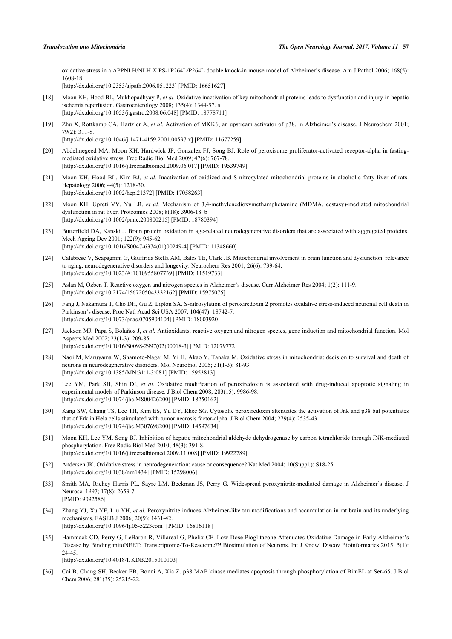oxidative stress in a APPNLH/NLH X PS-1P264L/P264L double knock-in mouse model of Alzheimer's disease. Am J Pathol 2006; 168(5): 1608-18.

[\[http://dx.doi.org/10.2353/ajpath.2006.051223](http://dx.doi.org/10.2353/ajpath.2006.051223)] [PMID: [16651627\]](http://www.ncbi.nlm.nih.gov/pubmed/16651627)

- <span id="page-9-0"></span>[18] Moon KH, Hood BL, Mukhopadhyay P, *et al.* Oxidative inactivation of key mitochondrial proteins leads to dysfunction and injury in hepatic ischemia reperfusion. Gastroenterology 2008; 135(4): 1344-57. a [\[http://dx.doi.org/10.1053/j.gastro.2008.06.048\]](http://dx.doi.org/10.1053/j.gastro.2008.06.048) [PMID: [18778711](http://www.ncbi.nlm.nih.gov/pubmed/18778711)]
- <span id="page-9-1"></span>[19] Zhu X, Rottkamp CA, Hartzler A, *et al.* Activation of MKK6, an upstream activator of p38, in Alzheimer's disease. J Neurochem 2001; 79(2): 311-8.

[\[http://dx.doi.org/10.1046/j.1471-4159.2001.00597.x\]](http://dx.doi.org/10.1046/j.1471-4159.2001.00597.x) [PMID: [11677259](http://www.ncbi.nlm.nih.gov/pubmed/11677259)]

- <span id="page-9-2"></span>[20] Abdelmegeed MA, Moon KH, Hardwick JP, Gonzalez FJ, Song BJ. Role of peroxisome proliferator-activated receptor-alpha in fastingmediated oxidative stress. Free Radic Biol Med 2009; 47(6): 767-78. [\[http://dx.doi.org/10.1016/j.freeradbiomed.2009.06.017\]](http://dx.doi.org/10.1016/j.freeradbiomed.2009.06.017) [PMID: [19539749](http://www.ncbi.nlm.nih.gov/pubmed/19539749)]
- <span id="page-9-3"></span>[21] Moon KH, Hood BL, Kim BJ, et al. Inactivation of oxidized and S-nitrosylated mitochondrial proteins in alcoholic fatty liver of rats. Hepatology 2006; 44(5): 1218-30. [\[http://dx.doi.org/10.1002/hep.21372](http://dx.doi.org/10.1002/hep.21372)] [PMID: [17058263\]](http://www.ncbi.nlm.nih.gov/pubmed/17058263)
- <span id="page-9-4"></span>[22] Moon KH, Upreti VV, Yu LR, *et al.* Mechanism of 3,4-methylenedioxymethamphetamine (MDMA, ecstasy)-mediated mitochondrial dysfunction in rat liver. Proteomics 2008; 8(18): 3906-18. b [\[http://dx.doi.org/10.1002/pmic.200800215\]](http://dx.doi.org/10.1002/pmic.200800215) [PMID: [18780394](http://www.ncbi.nlm.nih.gov/pubmed/18780394)]
- <span id="page-9-5"></span>[23] Butterfield DA, Kanski J. Brain protein oxidation in age-related neurodegenerative disorders that are associated with aggregated proteins. Mech Ageing Dev 2001; 122(9): 945-62. [\[http://dx.doi.org/10.1016/S0047-6374\(01\)00249-4\]](http://dx.doi.org/10.1016/S0047-6374(01)00249-4) [PMID: [11348660](http://www.ncbi.nlm.nih.gov/pubmed/11348660)]
- [24] Calabrese V, Scapagnini G, Giuffrida Stella AM, Bates TE, Clark JB. Mitochondrial involvement in brain function and dysfunction: relevance to aging, neurodegenerative disorders and longevity. Neurochem Res 2001; 26(6): 739-64. [\[http://dx.doi.org/10.1023/A:1010955807739\]](http://dx.doi.org/10.1023/A:1010955807739) [PMID: [11519733](http://www.ncbi.nlm.nih.gov/pubmed/11519733)]
- [25] Aslan M, Ozben T. Reactive oxygen and nitrogen species in Alzheimer's disease. Curr Alzheimer Res 2004; 1(2): 111-9. [\[http://dx.doi.org/10.2174/1567205043332162\]](http://dx.doi.org/10.2174/1567205043332162) [PMID: [15975075](http://www.ncbi.nlm.nih.gov/pubmed/15975075)]
- <span id="page-9-6"></span>[26] Fang J, Nakamura T, Cho DH, Gu Z, Lipton SA. S-nitrosylation of peroxiredoxin 2 promotes oxidative stress-induced neuronal cell death in Parkinson's disease. Proc Natl Acad Sci USA 2007; 104(47): 18742-7. [\[http://dx.doi.org/10.1073/pnas.0705904104](http://dx.doi.org/10.1073/pnas.0705904104)] [PMID: [18003920](http://www.ncbi.nlm.nih.gov/pubmed/18003920)]
- <span id="page-9-9"></span>[27] Jackson MJ, Papa S, Bolaños J, *et al.* Antioxidants, reactive oxygen and nitrogen species, gene induction and mitochondrial function. Mol Aspects Med 2002; 23(1-3): 209-85. [\[http://dx.doi.org/10.1016/S0098-2997\(02\)00018-3\]](http://dx.doi.org/10.1016/S0098-2997(02)00018-3) [PMID: [12079772](http://www.ncbi.nlm.nih.gov/pubmed/12079772)]
- <span id="page-9-7"></span>[28] Naoi M, Maruyama W, Shamoto-Nagai M, Yi H, Akao Y, Tanaka M. Oxidative stress in mitochondria: decision to survival and death of neurons in neurodegenerative disorders. Mol Neurobiol 2005; 31(1-3): 81-93. [\[http://dx.doi.org/10.1385/MN:31:1-3:081](http://dx.doi.org/10.1385/MN:31:1-3:081)] [PMID: [15953813\]](http://www.ncbi.nlm.nih.gov/pubmed/15953813)
- <span id="page-9-8"></span>[29] Lee YM, Park SH, Shin DI, *et al.* Oxidative modification of peroxiredoxin is associated with drug-induced apoptotic signaling in experimental models of Parkinson disease. J Biol Chem 2008; 283(15): 9986-98. [\[http://dx.doi.org/10.1074/jbc.M800426200\]](http://dx.doi.org/10.1074/jbc.M800426200) [PMID: [18250162](http://www.ncbi.nlm.nih.gov/pubmed/18250162)]
- <span id="page-9-10"></span>[30] Kang SW, Chang TS, Lee TH, Kim ES, Yu DY, Rhee SG. Cytosolic peroxiredoxin attenuates the activation of Jnk and p38 but potentiates that of Erk in Hela cells stimulated with tumor necrosis factor-alpha. J Biol Chem 2004; 279(4): 2535-43. [\[http://dx.doi.org/10.1074/jbc.M307698200\]](http://dx.doi.org/10.1074/jbc.M307698200) [PMID: [14597634](http://www.ncbi.nlm.nih.gov/pubmed/14597634)]
- <span id="page-9-11"></span>[31] Moon KH, Lee YM, Song BJ. Inhibition of hepatic mitochondrial aldehyde dehydrogenase by carbon tetrachloride through JNK-mediated phosphorylation. Free Radic Biol Med 2010; 48(3): 391-8. [\[http://dx.doi.org/10.1016/j.freeradbiomed.2009.11.008\]](http://dx.doi.org/10.1016/j.freeradbiomed.2009.11.008) [PMID: [19922789](http://www.ncbi.nlm.nih.gov/pubmed/19922789)]
- <span id="page-9-12"></span>[32] Andersen JK. Oxidative stress in neurodegeneration: cause or consequence? Nat Med 2004; 10(Suppl.): S18-25. [\[http://dx.doi.org/10.1038/nrn1434](http://dx.doi.org/10.1038/nrn1434)] [PMID: [15298006](http://www.ncbi.nlm.nih.gov/pubmed/15298006)]
- <span id="page-9-13"></span>[33] Smith MA, Richey Harris PL, Sayre LM, Beckman JS, Perry G. Widespread peroxynitrite-mediated damage in Alzheimer's disease. J Neurosci 1997; 17(8): 2653-7. [PMID: [9092586\]](http://www.ncbi.nlm.nih.gov/pubmed/9092586)
- <span id="page-9-14"></span>[34] Zhang YJ, Xu YF, Liu YH, *et al.* Peroxynitrite induces Alzheimer-like tau modifications and accumulation in rat brain and its underlying mechanisms. FASEB J 2006; 20(9): 1431-42. [\[http://dx.doi.org/10.1096/fj.05-5223com](http://dx.doi.org/10.1096/fj.05-5223com)] [PMID: [16816118\]](http://www.ncbi.nlm.nih.gov/pubmed/16816118)
- <span id="page-9-15"></span>[35] Hammack CD, Perry G, LeBaron R, Villareal G, Phelix CF. Low Dose Pioglitazone Attenuates Oxidative Damage in Early Alzheimer's Disease by Binding mitoNEET: Transcriptome-To-Reactome™ Biosimulation of Neurons. Int J Knowl Discov Bioinformatics 2015; 5(1): 24-45.
	- [\[http://dx.doi.org/10.4018/IJKDB.2015010103](http://dx.doi.org/10.4018/IJKDB.2015010103)]
- <span id="page-9-16"></span>[36] Cai B, Chang SH, Becker EB, Bonni A, Xia Z. p38 MAP kinase mediates apoptosis through phosphorylation of BimEL at Ser-65. J Biol Chem 2006; 281(35): 25215-22.